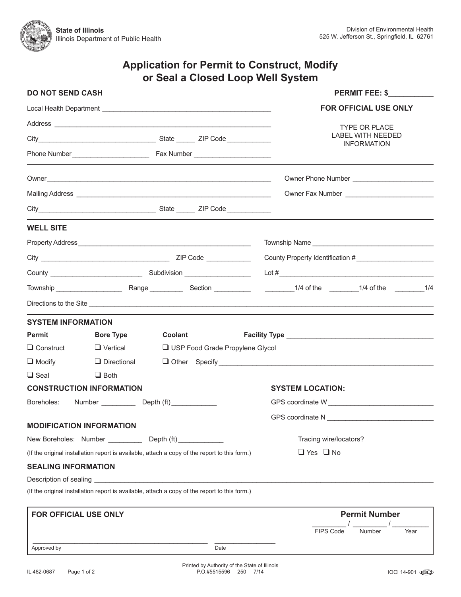# **Application for Permit to Construct, Modify or Seal a Closed Loop Well System**

| <b>DO NOT SEND CASH</b>                                     |                                                                                               |         | <b>PERMIT FEE: \$</b>        |                                                                                                                                                                                                                                |
|-------------------------------------------------------------|-----------------------------------------------------------------------------------------------|---------|------------------------------|--------------------------------------------------------------------------------------------------------------------------------------------------------------------------------------------------------------------------------|
|                                                             |                                                                                               |         | <b>FOR OFFICIAL USE ONLY</b> |                                                                                                                                                                                                                                |
|                                                             |                                                                                               |         |                              | <b>TYPE OR PLACE</b>                                                                                                                                                                                                           |
|                                                             |                                                                                               |         |                              | <b>LABEL WITH NEEDED</b>                                                                                                                                                                                                       |
|                                                             |                                                                                               |         |                              | <b>INFORMATION</b>                                                                                                                                                                                                             |
|                                                             |                                                                                               |         |                              |                                                                                                                                                                                                                                |
|                                                             |                                                                                               |         |                              |                                                                                                                                                                                                                                |
|                                                             |                                                                                               |         |                              |                                                                                                                                                                                                                                |
| <b>WELL SITE</b>                                            |                                                                                               |         |                              |                                                                                                                                                                                                                                |
|                                                             |                                                                                               |         |                              |                                                                                                                                                                                                                                |
|                                                             |                                                                                               |         |                              |                                                                                                                                                                                                                                |
|                                                             |                                                                                               |         |                              |                                                                                                                                                                                                                                |
|                                                             |                                                                                               |         |                              |                                                                                                                                                                                                                                |
|                                                             |                                                                                               |         |                              | Directions to the Site                                                                                                                                                                                                         |
| <b>SYSTEM INFORMATION</b>                                   |                                                                                               |         |                              |                                                                                                                                                                                                                                |
| Permit                                                      | <b>Bore Type</b>                                                                              | Coolant |                              |                                                                                                                                                                                                                                |
| $\Box$ Construct                                            | $\Box$ Vertical<br>USP Food Grade Propylene Glycol                                            |         |                              |                                                                                                                                                                                                                                |
| $\Box$ Modify                                               | $\Box$ Directional                                                                            |         |                              | Other Specify 2000 Changes and Changes and Changes and Changes and Changes and Changes and Changes and Changes and Changes and Changes and Changes and Changes and Changes and Changes and Changes and Changes and Changes and |
| $\Box$ Seal                                                 | $\Box$ Both                                                                                   |         |                              |                                                                                                                                                                                                                                |
|                                                             | <b>CONSTRUCTION INFORMATION</b>                                                               |         | <b>SYSTEM LOCATION:</b>      |                                                                                                                                                                                                                                |
| Number _____________ Depth (ft) _____________<br>Boreholes: |                                                                                               |         |                              |                                                                                                                                                                                                                                |
|                                                             |                                                                                               |         |                              |                                                                                                                                                                                                                                |
|                                                             | <b>MODIFICATION INFORMATION</b>                                                               |         |                              |                                                                                                                                                                                                                                |
| New Boreholes: Number ____________ Depth (ft) ____________  |                                                                                               |         |                              | Tracing wire/locators?                                                                                                                                                                                                         |
|                                                             | (If the original installation report is available, attach a copy of the report to this form.) |         |                              | $\Box$ Yes $\Box$ No                                                                                                                                                                                                           |
| <b>SEALING INFORMATION</b>                                  |                                                                                               |         |                              |                                                                                                                                                                                                                                |
| Description of sealing                                      |                                                                                               |         |                              |                                                                                                                                                                                                                                |
|                                                             | (If the original installation report is available, attach a copy of the report to this form.) |         |                              |                                                                                                                                                                                                                                |
| FOR OFFICIAL USE ONLY                                       |                                                                                               |         |                              | <b>Permit Number</b>                                                                                                                                                                                                           |
|                                                             |                                                                                               |         |                              | <b>FIPS Code</b><br>Number<br>Year                                                                                                                                                                                             |
| Approved by                                                 |                                                                                               |         | Date                         |                                                                                                                                                                                                                                |